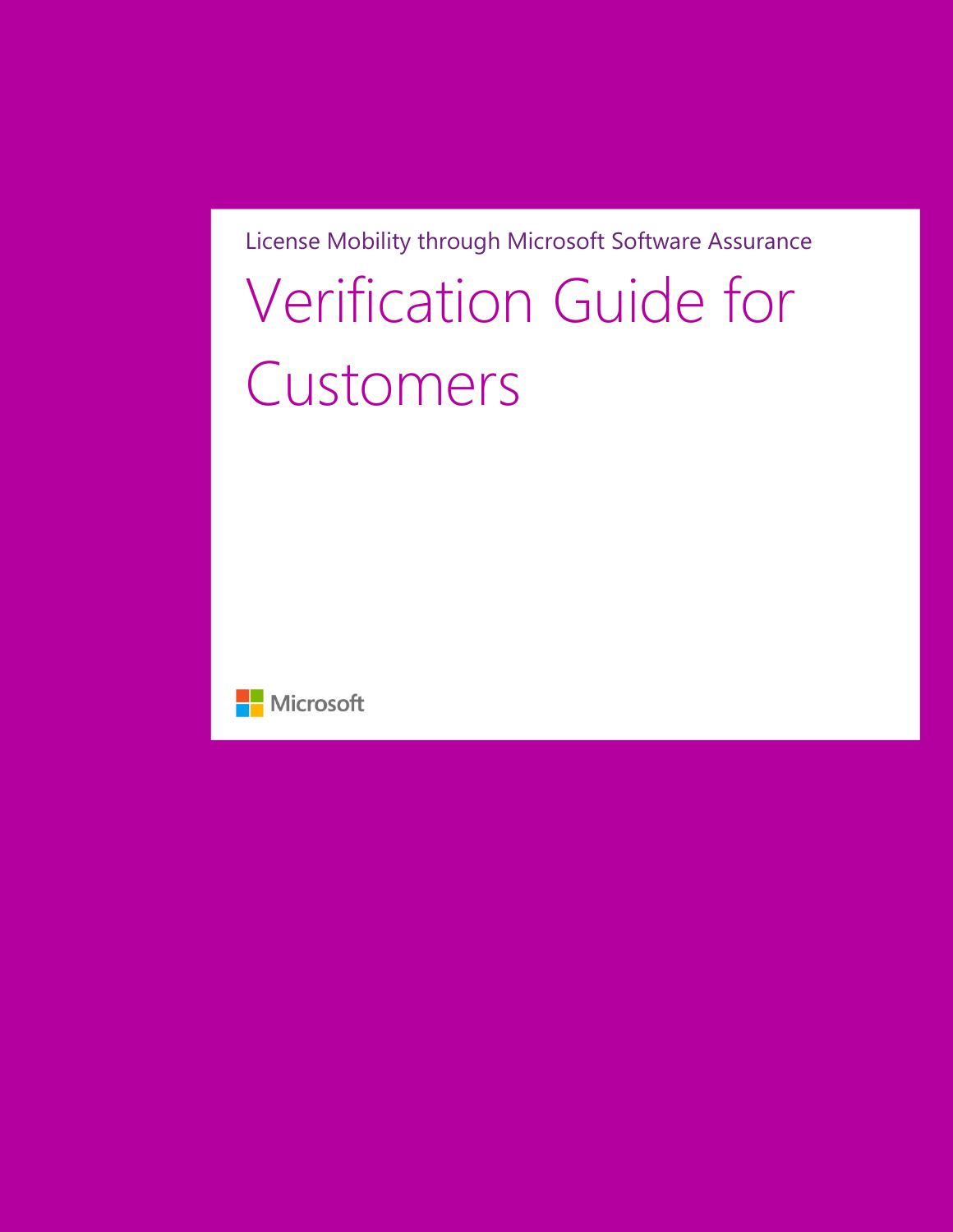# License Mobility through Microsoft Software Assurance Verification Guide for Customers

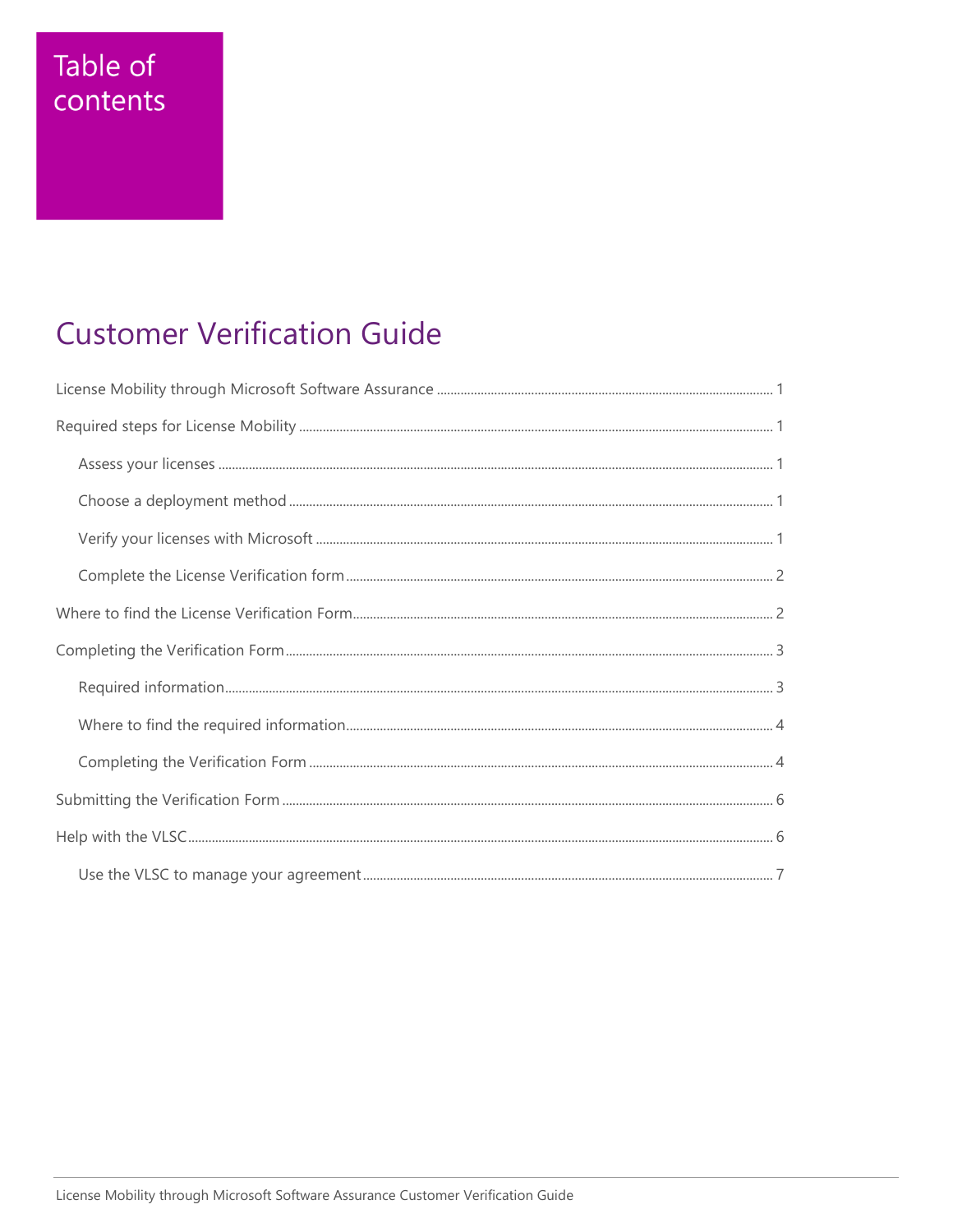## Table of contents

## **Customer Verification Guide**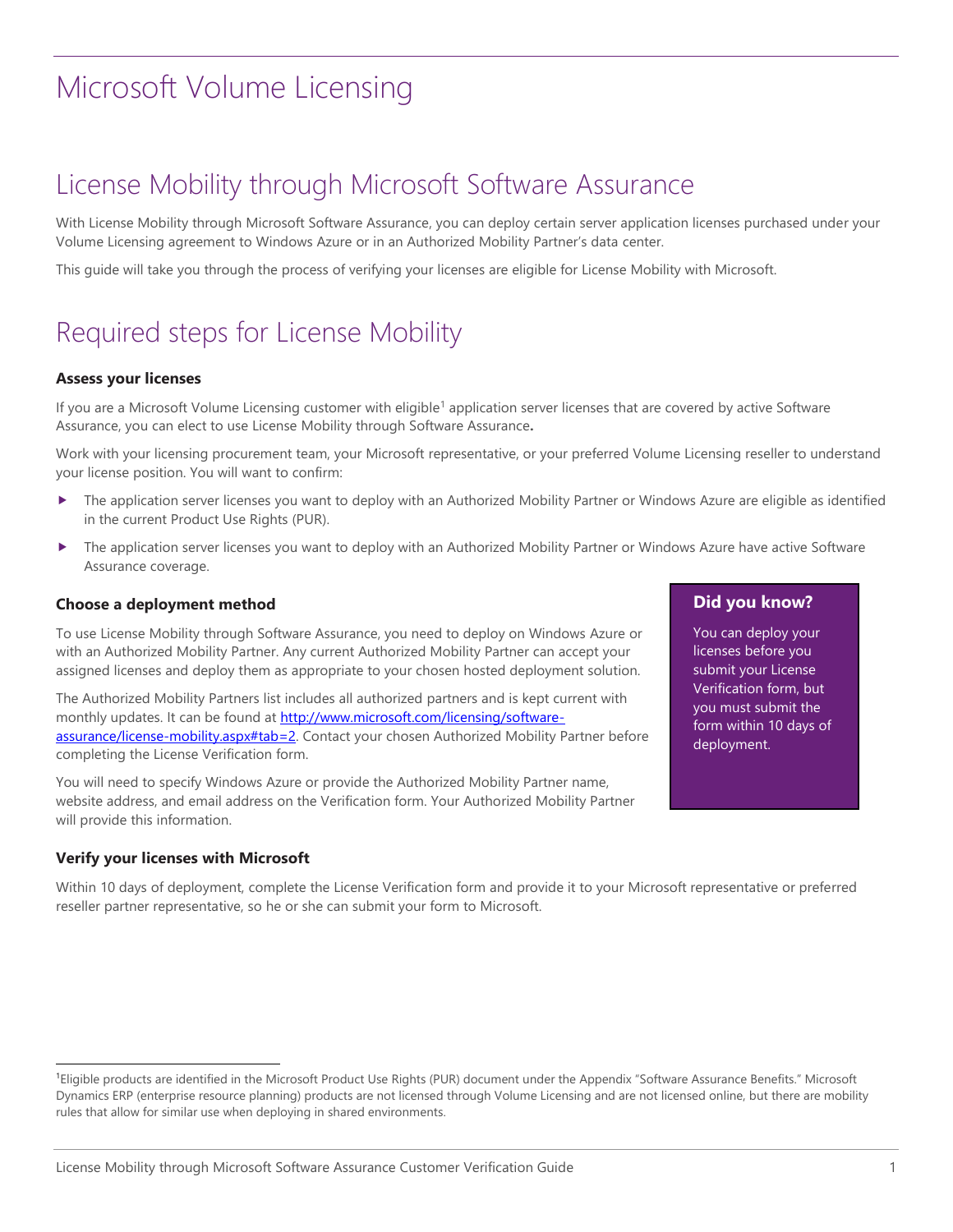## <span id="page-2-0"></span>License Mobility through Microsoft Software Assurance

With License Mobility through Microsoft Software Assurance, you can deploy certain server application licenses purchased under your Volume Licensing agreement to Windows Azure or in an Authorized Mobility Partner's data center.

<span id="page-2-1"></span>This guide will take you through the process of verifying your licenses are eligible for License Mobility with Microsoft.

## Required steps for License Mobility

### <span id="page-2-2"></span>**Assess your licenses**

If you are a Microsoft Volume Licensing customer with eligible<sup>1</sup> application server licenses that are covered by active Software Assurance, you can elect to use License Mobility through Software Assurance**.**

Work with your licensing procurement team, your Microsoft representative, or your preferred Volume Licensing reseller to understand your license position. You will want to confirm:

- The application server licenses you want to deploy with an Authorized Mobility Partner or Windows Azure are eligible as identified in the current Product Use Rights (PUR).
- The application server licenses you want to deploy with an Authorized Mobility Partner or Windows Azure have active Software Assurance coverage.

### <span id="page-2-3"></span>**Choose a deployment method**

To use License Mobility through Software Assurance, you need to deploy on Windows Azure or with an Authorized Mobility Partner. Any current Authorized Mobility Partner can accept your assigned licenses and deploy them as appropriate to your chosen hosted deployment solution.

The Authorized Mobility Partners list includes all authorized partners and is kept current with monthly updates. It can be found at [http://www.microsoft.com/licensing/software](http://www.microsoft.com/licensing/software-assurance/license-mobility.aspx#tab=2)[assurance/license-mobility.aspx#tab=2.](http://www.microsoft.com/licensing/software-assurance/license-mobility.aspx#tab=2) Contact your chosen Authorized Mobility Partner before completing the License Verification form.

You will need to specify Windows Azure or provide the Authorized Mobility Partner name, website address, and email address on the Verification form. Your Authorized Mobility Partner will provide this information.

### <span id="page-2-4"></span>**Verify your licenses with Microsoft**

l

Within 10 days of deployment, complete the License Verification form and provide it to your Microsoft representative or preferred reseller partner representative, so he or she can submit your form to Microsoft.

## **Did you know?**

You can deploy your licenses before you submit your License Verification form, but you must submit the form within 10 days of deployment.

<sup>1</sup>Eligible products are identified in the Microsoft Product Use Rights (PUR) document under the Appendix "Software Assurance Benefits." Microsoft Dynamics ERP (enterprise resource planning) products are not licensed through Volume Licensing and are not licensed online, but there are mobility rules that allow for similar use when deploying in shared environments.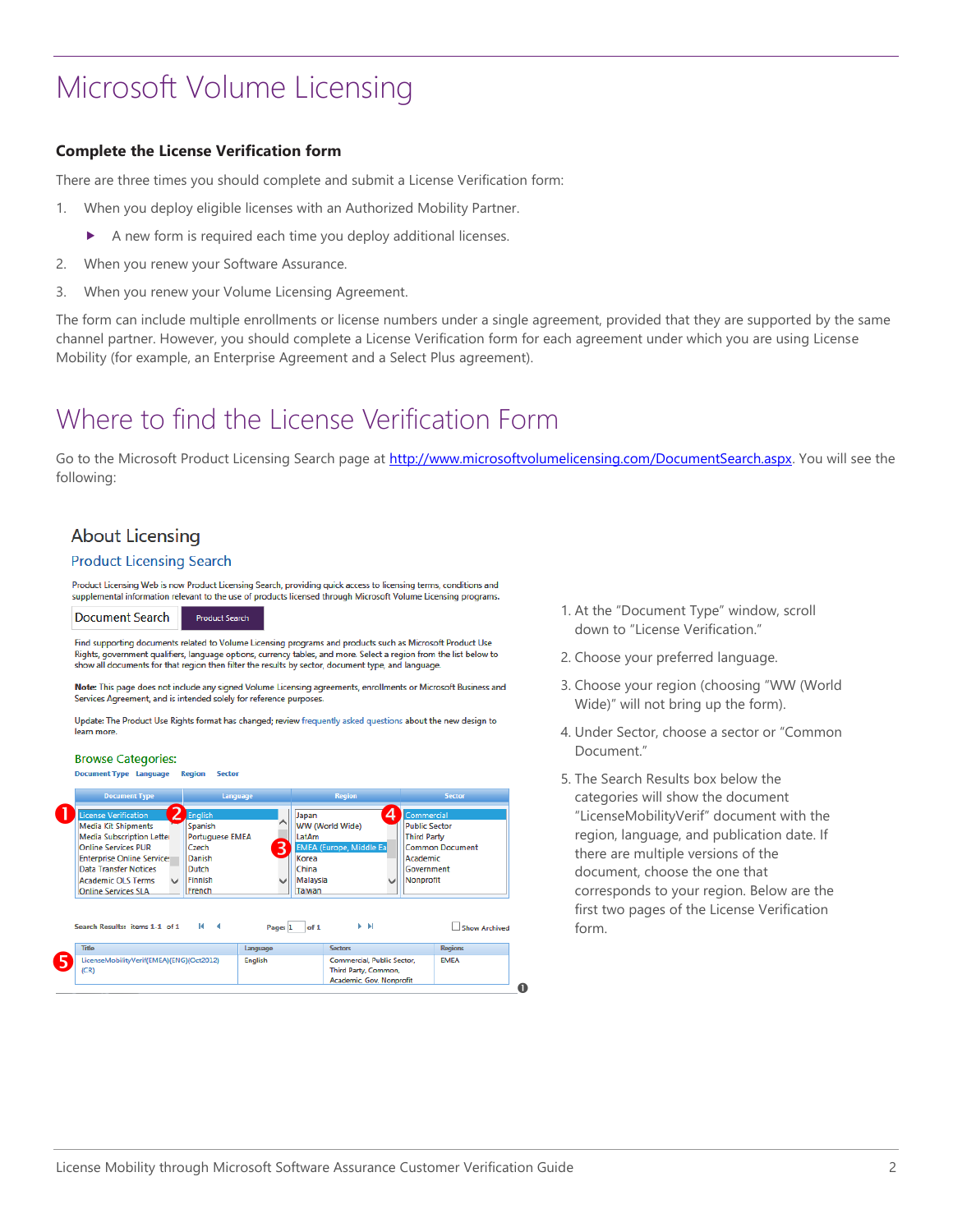### <span id="page-3-0"></span>**Complete the License Verification form**

There are three times you should complete and submit a License Verification form:

- 1. When you deploy eligible licenses with an Authorized Mobility Partner.
	- A new form is required each time you deploy additional licenses.
- 2. When you renew your Software Assurance.
- 3. When you renew your Volume Licensing Agreement.

The form can include multiple enrollments or license numbers under a single agreement, provided that they are supported by the same channel partner. However, you should complete a License Verification form for each agreement under which you are using License Mobility (for example, an Enterprise Agreement and a Select Plus agreement).

## <span id="page-3-1"></span>Where to find the License Verification Form

Go to the Microsoft Product Licensing Search page at [http://www.microsoftvolumelicensing.com/DocumentSearch.aspx.](http://www.microsoftvolumelicensing.com/DocumentSearch.aspx) You will see the following:

## **About Licensing**

### **Product Licensing Search**

Product Licensing Web is now Product Licensing Search, providing quick access to licensing terms, conditions and supplemental information relevant to the use of products licensed through Microsoft Volume Licensing programs.

**Document Search Product Search** 

Find supporting documents related to Volume Licensing programs and products such as Microsoft Product Use Rights, government qualifiers, language options, currency tables, and more. Select a region from the list below to show all documents for that region then filter the results by sector, document type, and language

Note: This page does not include any signed Volume Licensing agreements, enrollments or Microsoft Business and Services Agreement, and is intended solely for reference purposes.

Update: The Product Use Rights format has changed; review frequently asked questions about the new design to learn more.

### **Browse Categories:**

ment Type Language Region Sector

| <b>Document Type</b>                                                                                                                                                                                                                                                      |                                                                                                      | Language                                                    | <b>Region</b>                                             |                                                                                                      | <b>Sector</b>          |
|---------------------------------------------------------------------------------------------------------------------------------------------------------------------------------------------------------------------------------------------------------------------------|------------------------------------------------------------------------------------------------------|-------------------------------------------------------------|-----------------------------------------------------------|------------------------------------------------------------------------------------------------------|------------------------|
| License Verification<br><b>Media Kit Shipments</b><br><b>Media Subscription Letter</b><br><b>Online Services PUR</b><br><b>Enterprise Online Service:</b><br>Data Transfer Notices<br><b>Academic OLS Terms</b><br>$\overline{\phantom{a}}$<br><b>Online Services SLA</b> | English<br>Spanish<br><b>Portuguese EMEA</b><br>Czech<br>Danish<br><b>Dutch</b><br>Finnish<br>French | Japan<br>LatAm<br>3<br>Korea<br>China<br>Malaysia<br>Taiwan | WW (World Wide)<br><b>EMEA</b> (Europe, Middle Ea         | Commercial<br>Δ<br><b>Public Sector</b><br><b>Third Party</b><br>Academic<br>Government<br>Nonprofit | <b>Common Document</b> |
| Search Results: items 1-1 of 1                                                                                                                                                                                                                                            | $14 - 4$                                                                                             | of 1<br>Page: 1                                             | ÞН                                                        |                                                                                                      | <b>Show Archived</b>   |
| <b>Title</b>                                                                                                                                                                                                                                                              |                                                                                                      | Language                                                    | <b>Sectors</b>                                            |                                                                                                      | <b>Regions</b>         |
| LicenseMobilityVerif(EMEA)(ENG)(Oct2012)<br>(CR)                                                                                                                                                                                                                          |                                                                                                      | <b>English</b>                                              | <b>Commercial, Public Sector.</b><br>Third Party, Common, | Academic, Gov, Nonprofit                                                                             | <b>EMEA</b>            |

- 1. At the "Document Type" window, scroll down to "License Verification."
- 2. Choose your preferred language.
- 3. Choose your region (choosing "WW (World Wide)" will not bring up the form).
- 4. Under Sector, choose a sector or "Common Document."
- 5. The Search Results box below the categories will show the document "LicenseMobilityVerif" document with the region, language, and publication date. If there are multiple versions of the document, choose the one that corresponds to your region. Below are the first two pages of the License Verification form.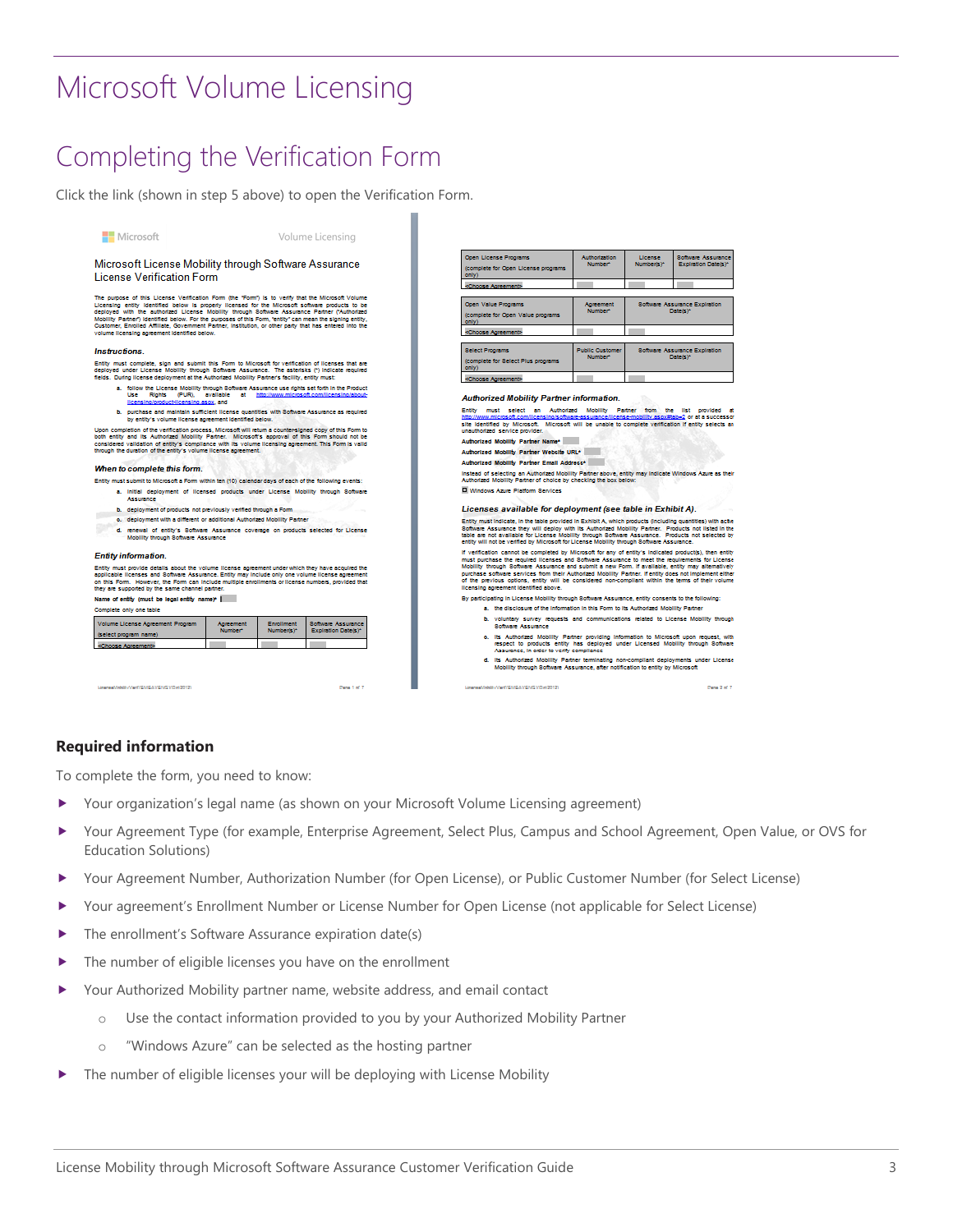## <span id="page-4-0"></span>Completing the Verification Form

Click the link (shown in step 5 above) to open the Verification Form.

Volume Licensing

Microsoft License Mobility through Software Assurance **License Verification Form** 

The puppose of this License Verification Form (the "Form") is to verify that the Microsoft Volume<br>Licensing entity identified below is properly licensed for the Microsoft software products to be<br>deployed with the authorize

#### Instructions

Microsoft

Entity must complete, sign and submit this Form to Microsoft for verification of licenses that are<br>deployed under License Mobility through Gotware Assurance. The esterists (\*) incloate required<br>fields. During license deplo

- **a.** follow the License Mobility through Schware Assurance use rights set forth in the Product Lise Rights contained and the model lise of the interval increased in the Product lise and the model of the model of the prod
- 
- 

Upon completion of the verification process, Microsoft will return a counter-signed copy of this Form to<br>both entity and its Authorized Mobility Partner. Microsoft's approval of this Form should not be<br>considered validatio

#### When to complete this form.

- Entity must submit to Microsoft a Form within ten (10) calendar days of each of the following events
	- a. Initial deployment of licensed products under License Mobility through Software<br>Assurance
- b. deployment of products not previously verified through a Form
- e. deployment with a different or additional Authorized Mobility Partner
- d. renewal of entity's Software Assurance coverage on products selected for License<br>Mobility through Software Assurance

#### Entity information.

Entity must provide details about the volume license agreement under which they have acquired the<br>applicable licenses and Software Assurance. Entity may include only one volume license agreement<br>on this Form. However, the Name of entity (must be legal entity name)\* |

#### Complete only one table

| Volume License Agreement Program<br>(select program name) | <b>Agreement</b><br>Number <sup>*</sup> | Enrollment<br>Number(s) <sup>*</sup> | <b>Software Assurance</b><br>Expiration Date(s)* |
|-----------------------------------------------------------|-----------------------------------------|--------------------------------------|--------------------------------------------------|
| <choose agreement=""></choose>                            |                                         |                                      |                                                  |
|                                                           |                                         |                                      |                                                  |
|                                                           |                                         |                                      |                                                  |

| Open License Programs<br>(complete for Open License programs)<br>only) | <b>Authorization</b><br>Number-   | License<br>Number's Y | Software Assurance<br><b>Expiration Date(s)*</b> |
|------------------------------------------------------------------------|-----------------------------------|-----------------------|--------------------------------------------------|
| <choose agreement=""></choose>                                         |                                   |                       |                                                  |
| Open Value Programs<br>(complete for Open Value programs<br>only)      | <b>Agreement</b><br>Number-       |                       | Software Assurance Expiration<br>Date is Y       |
| <choose agreement=""></choose>                                         |                                   |                       |                                                  |
| <b>Select Programs</b><br>(complete for Select Plus programs)<br>only) | <b>Public Customer</b><br>Number* |                       | Software Assurance Expiration<br>Date is Y       |
| <choose agreement=""></choose>                                         |                                   |                       |                                                  |

#### Authorized Mobility Partner information

Entity must select an Authorized Mobility Partner from the list provided at http://www.microsoft.com/licensing.schurer-ssurancellicensimilary-sites-<br>http://www.microsoft.com/licensing/schurer-assurance/license-mobility.ass

Authorized Mobility Partner Name\* uthorized Mobility Partner Website URL\*

Authorized Mobility Partner Email Address\*

SIEVVerfrüMEATENGTO (12012)

Instead of selecting an Authorized Mobility Partner above, entity may indicate Windows Azure as their<br>Authorized Mobility Partner of choice by checking the box below: Windows Azure Platform Services

### Licenses available for deployment (see table in Exhibit A).

Ently must indicate, in the table provided in Exhibit A, which products (including quantities) with ache<br>Software Assumance they will deploy with its Authorized Mobility Parker. Products not listed in the<br>table are not ava

If verification cannot be completed by Microsoft for any of entity's indicated productis), then entity must purchase the required licenses and Solviene Assumence and intervals in the interval of the main must be interval i

By participating in License Mobility through Software Assurance, entity consents to the following: a. the disclosure of the information in this Form to its Authorized Mobility Partner

- b. voluntary survey requests and communications related to License Mobility through<br>8oftware Assurance
- o. Its Authorized Mobility Partner providing information to Microsoft upon request, with<br>respect to products entity has depicyed under Licensed Mobility through Software<br>Assurance, in order to verify compilance

its Authorized Mobility Partner terminating non-compliant deployments under the Mobility through Software Assurance, after notification to entity by Microsoft

Page 2 of 7

### <span id="page-4-1"></span>**Required information**

EVVerfrEMEATENGTOet2012

To complete the form, you need to know:

Your organization's legal name (as shown on your Microsoft Volume Licensing agreement)

Page 1 of 1

- Your Agreement Type (for example, Enterprise Agreement, Select Plus, Campus and School Agreement, Open Value, or OVS for Education Solutions)
- Your Agreement Number, Authorization Number (for Open License), or Public Customer Number (for Select License)
- Your agreement's Enrollment Number or License Number for Open License (not applicable for Select License)
- The enrollment's Software Assurance expiration date(s)
- The number of eligible licenses you have on the enrollment
- Your Authorized Mobility partner name, website address, and email contact
	- o Use the contact information provided to you by your Authorized Mobility Partner
	- "Windows Azure" can be selected as the hosting partner
- The number of eligible licenses your will be deploying with License Mobility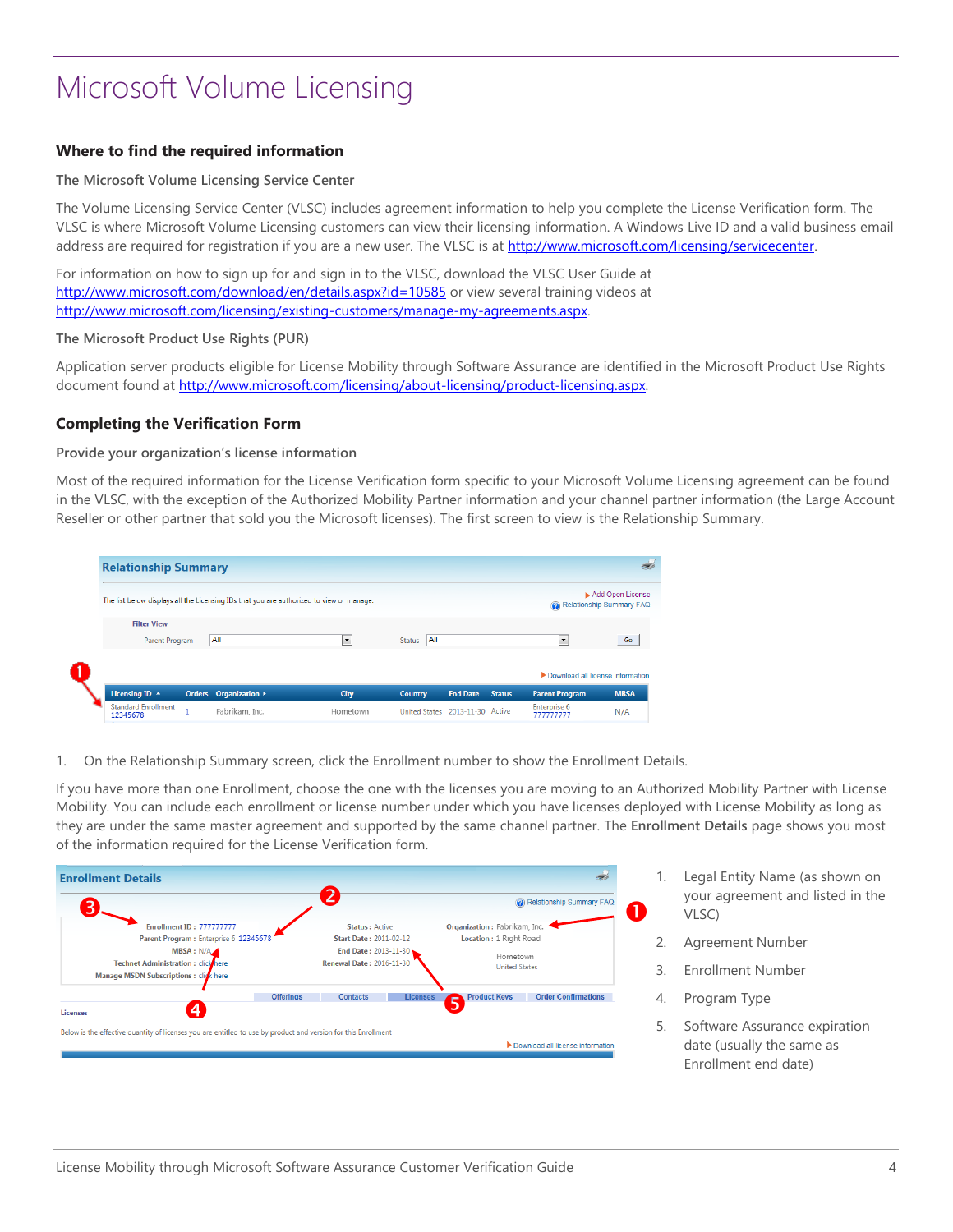## <span id="page-5-0"></span>**Where to find the required information**

### **The Microsoft Volume Licensing Service Center**

The Volume Licensing Service Center (VLSC) includes agreement information to help you complete the License Verification form. The VLSC is where Microsoft Volume Licensing customers can view their licensing information. A Windows Live ID and a valid business email address are required for registration if you are a new user. The VLSC is at http://www.microsoft.com/licensing/servicecenter.

For information on how to sign up for and sign in to the VLSC, download the VLSC User Guide at <http://www.microsoft.com/download/en/details.aspx?id=10585> or view several training videos at [http://www.microsoft.com/licensing/existing-customers/manage-my-agreements.aspx.](http://www.microsoft.com/licensing/existing-customers/manage-my-agreements.aspx) 

### **The Microsoft Product Use Rights (PUR)**

Application server products eligible for License Mobility through Software Assurance are identified in the Microsoft Product Use Rights document found at [http://www.microsoft.com/licensing/about-licensing/product-licensing.aspx.](http://www.microsoft.com/licensing/about-licensing/product-licensing.aspx) 

### <span id="page-5-1"></span>**Completing the Verification Form**

### **Provide your organization's license information**

Most of the required information for the License Verification form specific to your Microsoft Volume Licensing agreement can be found in the VLSC, with the exception of the Authorized Mobility Partner information and your channel partner information (the Large Account Reseller or other partner that sold you the Microsoft licenses). The first screen to view is the Relationship Summary.

| <b>Relationship Summary</b>                                          |                                                                                          |                         |                                 |                                      |               |                                                    |                                              |
|----------------------------------------------------------------------|------------------------------------------------------------------------------------------|-------------------------|---------------------------------|--------------------------------------|---------------|----------------------------------------------------|----------------------------------------------|
|                                                                      | The list below displays all the Licensing IDs that you are authorized to view or manage. |                         |                                 |                                      |               |                                                    | Add Open License<br>Relationship Summary FAQ |
| <b>Filter View</b><br>Parent Program                                 | All                                                                                      | $\bullet$               | All<br><b>Status</b>            |                                      |               | $\overline{\phantom{a}}$                           | Go                                           |
|                                                                      |                                                                                          |                         |                                 |                                      |               | Download all license information                   |                                              |
| Licensing ID $\rightarrow$<br><b>Standard Enrollment</b><br>12345678 | Orders Organization ><br>Fabrikam, Inc.                                                  | <b>City</b><br>Hometown | Country<br><b>United States</b> | <b>End Date</b><br>2013-11-30 Active | <b>Status</b> | <b>Parent Program</b><br>Enterprise 6<br>777777777 | <b>MBSA</b><br>N/A                           |

1. On the Relationship Summary screen, click the Enrollment number to show the Enrollment Details.

If you have more than one Enrollment, choose the one with the licenses you are moving to an Authorized Mobility Partner with License Mobility. You can include each enrollment or license number under which you have licenses deployed with License Mobility as long as they are under the same master agreement and supported by the same channel partner. The **Enrollment Details** page shows you most of the information required for the License Verification form.



- 1. Legal Entity Name (as shown on your agreement and listed in the VLSC)
- 2. Agreement Number
- 3. Enrollment Number
- 4. Program Type
- 5. Software Assurance expiration date (usually the same as Enrollment end date)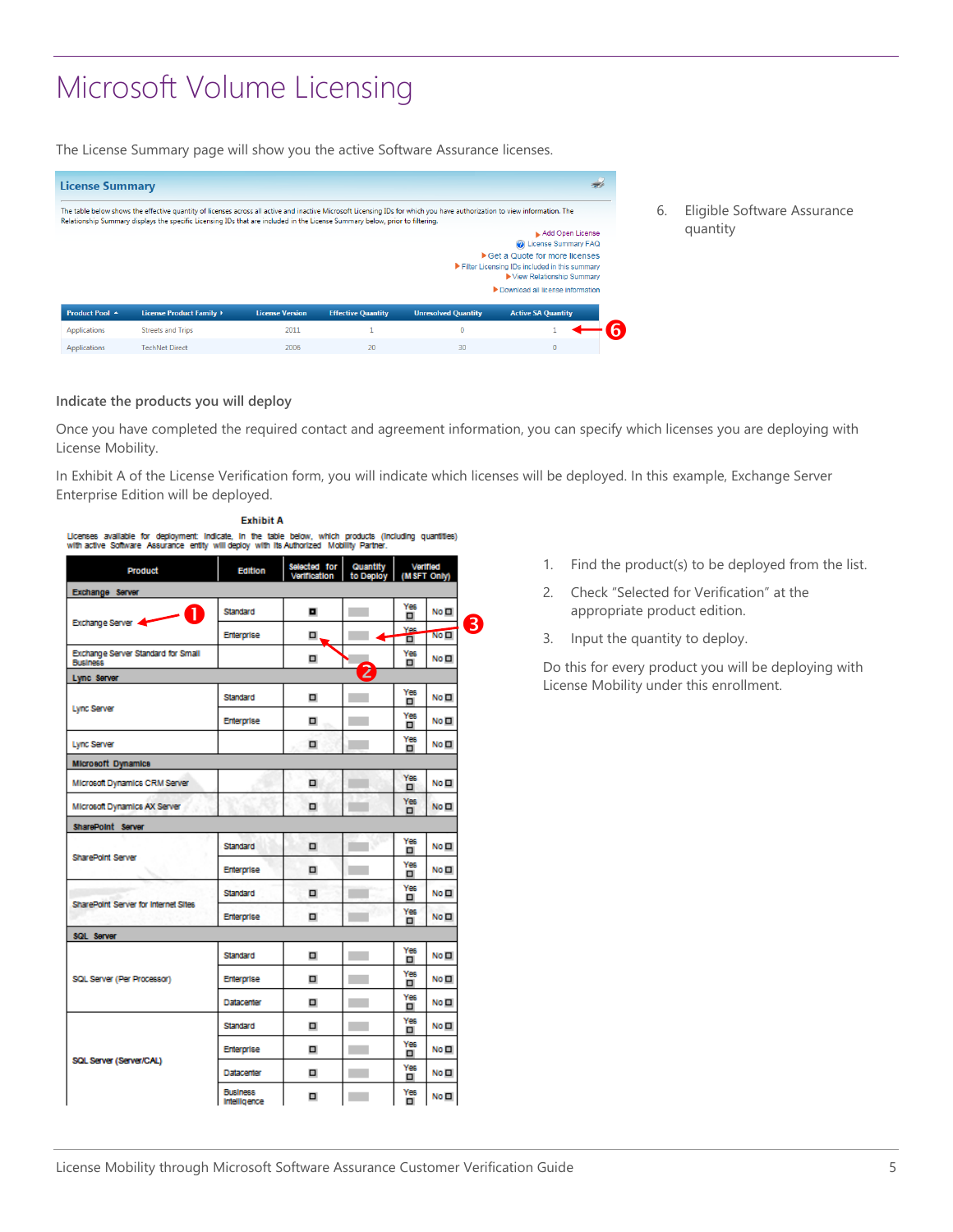The License Summary page will show you the active Software Assurance licenses.

| <b>License Summary</b>                |                                                                                                                                                                                                                                                                                                           |                                |                           |                                            |                                                                                                                                                             |
|---------------------------------------|-----------------------------------------------------------------------------------------------------------------------------------------------------------------------------------------------------------------------------------------------------------------------------------------------------------|--------------------------------|---------------------------|--------------------------------------------|-------------------------------------------------------------------------------------------------------------------------------------------------------------|
|                                       | The table below shows the effective quantity of licenses across all active and inactive Microsoft Licensing IDs for which you have authorization to view information. The<br>Relationship Summary displays the specific Licensing IDs that are included in the License Summary below, prior to filtering. |                                |                           |                                            |                                                                                                                                                             |
|                                       |                                                                                                                                                                                                                                                                                                           |                                |                           |                                            | Add Open License<br>Co License Summary FAQ<br>Get a Quote for more licenses<br>Filter Licensing IDs included in this summary<br>▶ View Relationship Summary |
|                                       |                                                                                                                                                                                                                                                                                                           |                                |                           |                                            | Download all license information                                                                                                                            |
| Product Pool ▲<br><b>Applications</b> | License Product Family ><br><b>Streets and Trips</b>                                                                                                                                                                                                                                                      | <b>License Version</b><br>2011 | <b>Effective Quantity</b> | <b>Unresolved Quantity</b><br>$\mathbf{0}$ | <b>Active SA Quantity</b>                                                                                                                                   |
| Applications                          | <b>TechNet Direct</b>                                                                                                                                                                                                                                                                                     | 2006                           | 20                        | 30                                         | $\mathbf{0}$                                                                                                                                                |

6. Eligible Software Assurance quantity

### **Indicate the products you will deploy**

Once you have completed the required contact and agreement information, you can specify which licenses you are deploying with License Mobility.

In Exhibit A of the License Verification form, you will indicate which licenses will be deployed. In this example, Exchange Server Enterprise Edition will be deployed.

| Product                                               | <b>Edition</b>                  | Selected for<br>Vertfloation | Quantity<br>to Deploy |                 | Verified<br>(MSFT Only) |
|-------------------------------------------------------|---------------------------------|------------------------------|-----------------------|-----------------|-------------------------|
| Exchange Server                                       |                                 |                              |                       |                 |                         |
| T<br>Exchange Server                                  | Standard                        | o                            |                       | Yes<br>▫        | No <sub>H</sub>         |
|                                                       | Enterprise                      | □                            |                       | Yes<br>σ        | No <sub>H</sub>         |
| Exchange Server Standard for Small<br><b>Business</b> |                                 | α                            |                       | Yes<br>α        | No <sub>H</sub>         |
| Lync Server                                           |                                 |                              | 2                     |                 |                         |
| <b>Lync Server</b>                                    | Standard                        |                              |                       | Yes<br>α        | No <sub>H</sub>         |
|                                                       | Enterprise                      | ▫                            |                       | Yes<br>Ξ        | No <b>El</b>            |
| Lync Server                                           |                                 | α                            |                       | Yes<br>α        | No <sub>H</sub>         |
| <b>Microsoft Dynamics</b>                             |                                 |                              |                       |                 |                         |
| Microsoft Dynamics CRM Server                         |                                 | α                            |                       | Yes<br>□        | No <sub>H</sub>         |
| Microsoft Dynamics AX Server                          |                                 | ▫                            |                       | Yes<br>$\Box$   | No <sub>H</sub>         |
| <b>SharePoint Server</b>                              |                                 |                              |                       |                 |                         |
| SharePoint Server                                     | Standard                        | □                            |                       | Yes<br>▫        | No <b>El</b>            |
|                                                       | Enterprise                      | ▫                            |                       | Yes<br>□        | No <sub>H</sub>         |
| SharePoint Server for Internet Sites                  | Standard                        | □                            |                       | <b>Yes</b><br>α | No <sub>1</sub>         |
|                                                       | Enterprise                      | α                            |                       | Yes<br>α        | No <sub>H</sub>         |
| SQL Server                                            |                                 |                              |                       |                 |                         |
|                                                       | Standard                        | ο                            |                       | Yes<br>▫        | No <sub>H</sub>         |
| SQL Server (Per Processor)                            | Enterprise                      | ο                            |                       | Yes<br>□        | No <sub>H</sub>         |
|                                                       | Datacenter                      | α                            |                       | Yes<br>α        | No <sub>H</sub>         |
|                                                       | Standard                        | α                            |                       | Yes<br>α        | No <sub>H</sub>         |
|                                                       | Enterprise                      | ο                            |                       | Yes             | No <sub>H</sub>         |
| SQL Server (Server/CAL)                               | Datacenter                      | ο                            |                       | Yes<br>▫        | No <sub>H</sub>         |
|                                                       | <b>Business</b><br>Intelligence | □                            |                       | Yes<br>α        | No <b>El</b>            |

**Exhibit A** 

- 1. Find the product(s) to be deployed from the list.
- 2. Check "Selected for Verification" at the appropriate product edition.
- 3. Input the quantity to deploy.

Do this for every product you will be deploying with License Mobility under this enrollment.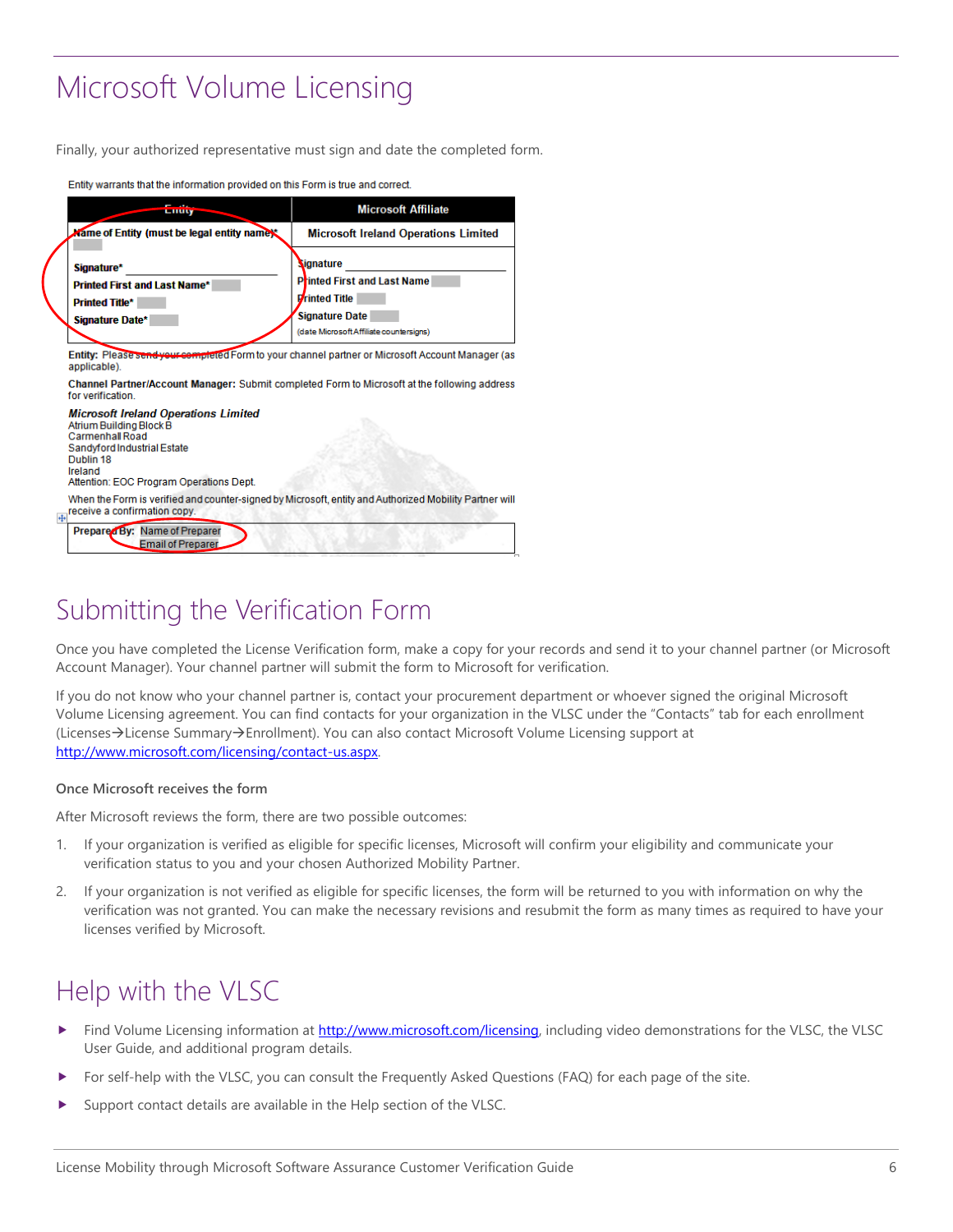Finally, your authorized representative must sign and date the completed form.

| шищу                                                                                                                                                                                                                        | <b>Microsoft Affiliate</b>                                                                                                                                                                             |
|-----------------------------------------------------------------------------------------------------------------------------------------------------------------------------------------------------------------------------|--------------------------------------------------------------------------------------------------------------------------------------------------------------------------------------------------------|
| Mame of Entity (must be legal entity name):                                                                                                                                                                                 | <b>Microsoft Ireland Operations Limited</b>                                                                                                                                                            |
| Signature*<br>Printed First and Last Name*<br><b>Printed Title*</b><br>Signature Date*                                                                                                                                      | Signature<br><b>Printed First and Last Name</b><br><b>Printed Title</b><br><b>Signature Date</b><br>(date Microsoft Affiliate countersigns)                                                            |
| applicable).                                                                                                                                                                                                                | Entity: Please send your completed Form to your channel partner or Microsoft Account Manager (as                                                                                                       |
|                                                                                                                                                                                                                             |                                                                                                                                                                                                        |
| for verification                                                                                                                                                                                                            |                                                                                                                                                                                                        |
|                                                                                                                                                                                                                             |                                                                                                                                                                                                        |
| <b>Microsoft Ireland Operations Limited</b><br>Atrium Building Block B<br>Carmenhall Road<br>Sandyford Industrial Estate<br>Dublin 18<br>Ireland<br>Attention: EOC Program Operations Dept.<br>receive a confirmation copy. | Channel Partner/Account Manager: Submit completed Form to Microsoft at the following address<br>When the Form is verified and counter-signed by Microsoft, entity and Authorized Mobility Partner will |

Entity warrants that the information provided on this Form is true and correct

## <span id="page-7-0"></span>Submitting the Verification Form

Once you have completed the License Verification form, make a copy for your records and send it to your channel partner (or Microsoft Account Manager). Your channel partner will submit the form to Microsoft for verification.

If you do not know who your channel partner is, contact your procurement department or whoever signed the original Microsoft Volume Licensing agreement. You can find contacts for your organization in the VLSC under the "Contacts" tab for each enrollment (Licenses->License Summary->Enrollment). You can also contact Microsoft Volume Licensing support at [http://www.microsoft.com/licensing/contact-us.aspx.](http://www.microsoft.com/licensing/contact-us.aspx) 

### **Once Microsoft receives the form**

After Microsoft reviews the form, there are two possible outcomes:

- 1. If your organization is verified as eligible for specific licenses, Microsoft will confirm your eligibility and communicate your verification status to you and your chosen Authorized Mobility Partner.
- 2. If your organization is not verified as eligible for specific licenses, the form will be returned to you with information on why the verification was not granted. You can make the necessary revisions and resubmit the form as many times as required to have your licenses verified by Microsoft.

## <span id="page-7-1"></span>Help with the VLSC

- Find Volume Licensing information a[t http://www.microsoft.com/licensing,](http://www.microsoft.com/licensing/) including video demonstrations for the VLSC, the VLSC User Guide, and additional program details.
- For self-help with the VLSC, you can consult the Frequently Asked Questions (FAQ) for each page of the site.
- Support contact details are available in the Help section of the VLSC.